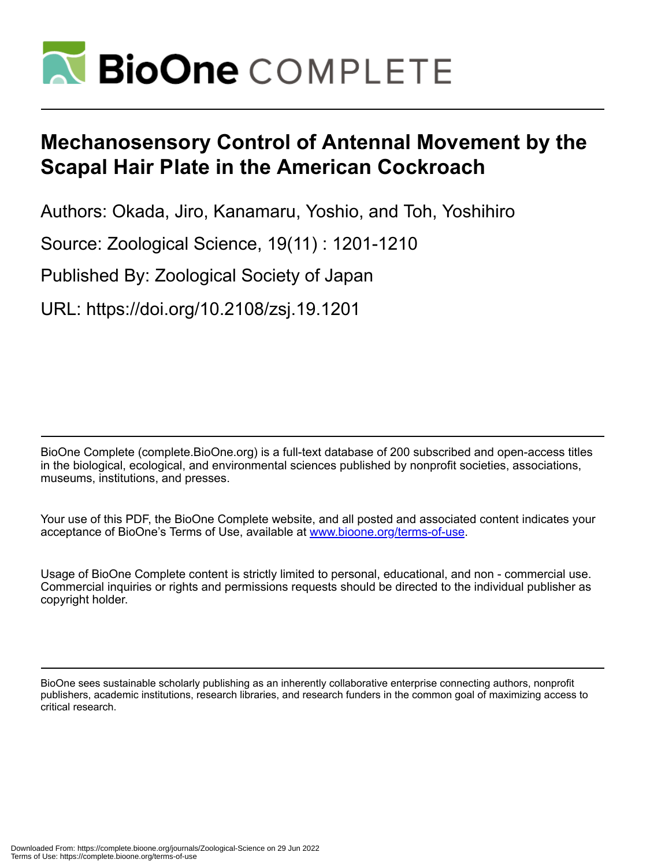

# **Mechanosensory Control of Antennal Movement by the Scapal Hair Plate in the American Cockroach**

Authors: Okada, Jiro, Kanamaru, Yoshio, and Toh, Yoshihiro

Source: Zoological Science, 19(11) : 1201-1210

Published By: Zoological Society of Japan

URL: https://doi.org/10.2108/zsj.19.1201

BioOne Complete (complete.BioOne.org) is a full-text database of 200 subscribed and open-access titles in the biological, ecological, and environmental sciences published by nonprofit societies, associations, museums, institutions, and presses.

Your use of this PDF, the BioOne Complete website, and all posted and associated content indicates your acceptance of BioOne's Terms of Use, available at www.bioone.org/terms-of-use.

Usage of BioOne Complete content is strictly limited to personal, educational, and non - commercial use. Commercial inquiries or rights and permissions requests should be directed to the individual publisher as copyright holder.

BioOne sees sustainable scholarly publishing as an inherently collaborative enterprise connecting authors, nonprofit publishers, academic institutions, research libraries, and research funders in the common goal of maximizing access to critical research.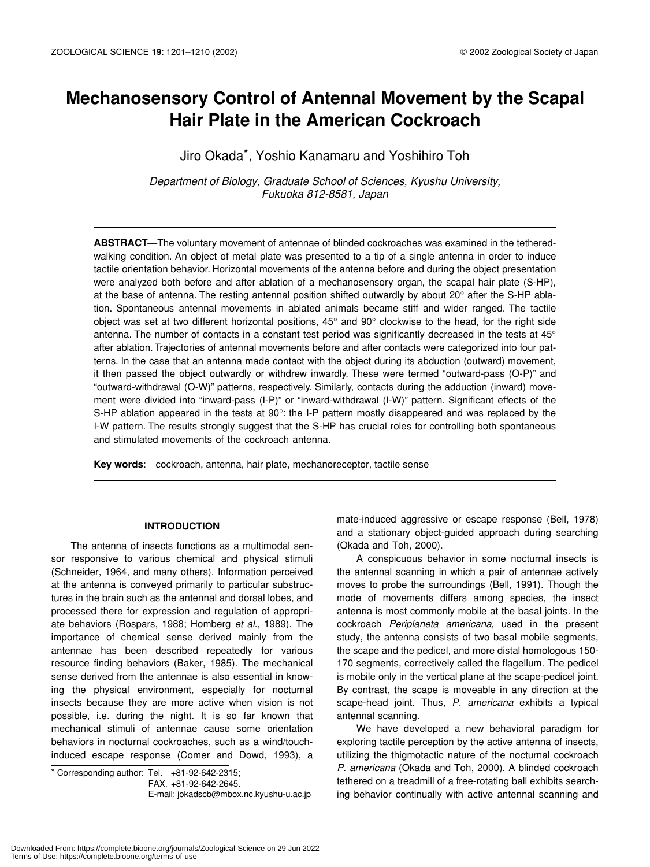## **Mechanosensory Control of Antennal Movement by the Scapal Hair Plate in the American Cockroach**

Jiro Okada\*, Yoshio Kanamaru and Yoshihiro Toh

*Department of Biology, Graduate School of Sciences, Kyushu University, Fukuoka 812-8581, Japan*

**ABSTRACT**—The voluntary movement of antennae of blinded cockroaches was examined in the tetheredwalking condition. An object of metal plate was presented to a tip of a single antenna in order to induce tactile orientation behavior. Horizontal movements of the antenna before and during the object presentation were analyzed both before and after ablation of a mechanosensory organ, the scapal hair plate (S-HP), at the base of antenna. The resting antennal position shifted outwardly by about 20° after the S-HP ablation. Spontaneous antennal movements in ablated animals became stiff and wider ranged. The tactile object was set at two different horizontal positions, 45° and 90° clockwise to the head, for the right side antenna. The number of contacts in a constant test period was significantly decreased in the tests at 45° after ablation. Trajectories of antennal movements before and after contacts were categorized into four patterns. In the case that an antenna made contact with the object during its abduction (outward) movement, it then passed the object outwardly or withdrew inwardly. These were termed "outward-pass (O-P)" and "outward-withdrawal (O-W)" patterns, respectively. Similarly, contacts during the adduction (inward) movement were divided into "inward-pass (I-P)" or "inward-withdrawal (I-W)" pattern. Significant effects of the S-HP ablation appeared in the tests at 90°: the I-P pattern mostly disappeared and was replaced by the I-W pattern. The results strongly suggest that the S-HP has crucial roles for controlling both spontaneous and stimulated movements of the cockroach antenna.

**Key words**: cockroach, antenna, hair plate, mechanoreceptor, tactile sense

## **INTRODUCTION**

The antenna of insects functions as a multimodal sensor responsive to various chemical and physical stimuli (Schneider, 1964, and many others). Information perceived at the antenna is conveyed primarily to particular substructures in the brain such as the antennal and dorsal lobes, and processed there for expression and regulation of appropriate behaviors (Rospars, 1988; Homberg *et al*., 1989). The importance of chemical sense derived mainly from the antennae has been described repeatedly for various resource finding behaviors (Baker, 1985). The mechanical sense derived from the antennae is also essential in knowing the physical environment, especially for nocturnal insects because they are more active when vision is not possible, i.e. during the night. It is so far known that mechanical stimuli of antennae cause some orientation behaviors in nocturnal cockroaches, such as a wind/touchinduced escape response (Comer and Dowd, 1993), a

 $*$  Corresponding author: Tel.  $+81-92-642-2315$ ;

E-mail: jokadscb@mbox.nc.kyushu-u.ac.jp

mate-induced aggressive or escape response (Bell, 1978) and a stationary object-guided approach during searching (Okada and Toh, 2000).

A conspicuous behavior in some nocturnal insects is the antennal scanning in which a pair of antennae actively moves to probe the surroundings (Bell, 1991). Though the mode of movements differs among species, the insect antenna is most commonly mobile at the basal joints. In the cockroach *Periplaneta americana*, used in the present study, the antenna consists of two basal mobile segments, the scape and the pedicel, and more distal homologous 150- 170 segments, correctively called the flagellum. The pedicel is mobile only in the vertical plane at the scape-pedicel joint. By contrast, the scape is moveable in any direction at the scape-head joint. Thus, *P. americana* exhibits a typical antennal scanning.

We have developed a new behavioral paradigm for exploring tactile perception by the active antenna of insects, utilizing the thigmotactic nature of the nocturnal cockroach *P. americana* (Okada and Toh, 2000). A blinded cockroach tethered on a treadmill of a free-rotating ball exhibits searching behavior continually with active antennal scanning and

FAX. +81-92-642-2645.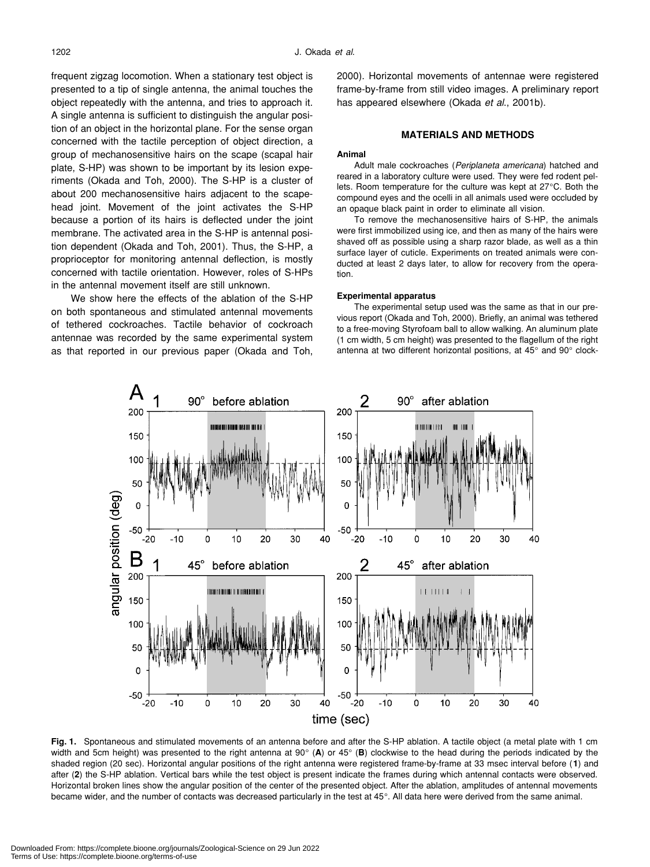frequent zigzag locomotion. When a stationary test object is presented to a tip of single antenna, the animal touches the object repeatedly with the antenna, and tries to approach it. A single antenna is sufficient to distinguish the angular position of an object in the horizontal plane. For the sense organ concerned with the tactile perception of object direction, a group of mechanosensitive hairs on the scape (scapal hair plate, S-HP) was shown to be important by its lesion experiments (Okada and Toh, 2000). The S-HP is a cluster of about 200 mechanosensitive hairs adjacent to the scapehead joint. Movement of the joint activates the S-HP because a portion of its hairs is deflected under the joint membrane. The activated area in the S-HP is antennal position dependent (Okada and Toh, 2001). Thus, the S-HP, a proprioceptor for monitoring antennal deflection, is mostly concerned with tactile orientation. However, roles of S-HPs in the antennal movement itself are still unknown.

We show here the effects of the ablation of the S-HP on both spontaneous and stimulated antennal movements of tethered cockroaches. Tactile behavior of cockroach antennae was recorded by the same experimental system as that reported in our previous paper (Okada and Toh, 2000). Horizontal movements of antennae were registered frame-by-frame from still video images. A preliminary report has appeared elsewhere (Okada *et al*., 2001b).

## **MATERIALS AND METHODS**

## **Animal**

Adult male cockroaches (*Periplaneta americana*) hatched and reared in a laboratory culture were used. They were fed rodent pellets. Room temperature for the culture was kept at 27°C. Both the compound eyes and the ocelli in all animals used were occluded by an opaque black paint in order to eliminate all vision.

To remove the mechanosensitive hairs of S-HP, the animals were first immobilized using ice, and then as many of the hairs were shaved off as possible using a sharp razor blade, as well as a thin surface layer of cuticle. Experiments on treated animals were conducted at least 2 days later, to allow for recovery from the operation.

## **Experimental apparatus**

The experimental setup used was the same as that in our previous report (Okada and Toh, 2000). Briefly, an animal was tethered to a free-moving Styrofoam ball to allow walking. An aluminum plate (1 cm width, 5 cm height) was presented to the flagellum of the right antenna at two different horizontal positions, at 45° and 90° clock-



**Fig. 1.** Spontaneous and stimulated movements of an antenna before and after the S-HP ablation. A tactile object (a metal plate with 1 cm width and 5cm height) was presented to the right antenna at 90° (**A**) or 45° (**B**) clockwise to the head during the periods indicated by the shaded region (20 sec). Horizontal angular positions of the right antenna were registered frame-by-frame at 33 msec interval before (**1**) and after (**2**) the S-HP ablation. Vertical bars while the test object is present indicate the frames during which antennal contacts were observed. Horizontal broken lines show the angular position of the center of the presented object. After the ablation, amplitudes of antennal movements became wider, and the number of contacts was decreased particularly in the test at 45°. All data here were derived from the same animal.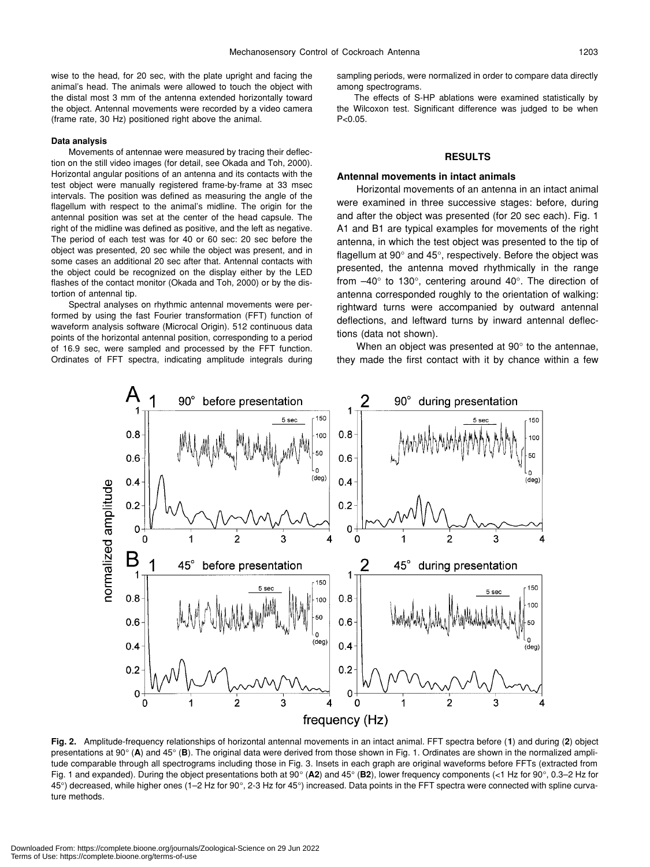wise to the head, for 20 sec, with the plate upright and facing the animal's head. The animals were allowed to touch the object with the distal most 3 mm of the antenna extended horizontally toward the object. Antennal movements were recorded by a video camera (frame rate, 30 Hz) positioned right above the animal.

## **Data analysis**

Movements of antennae were measured by tracing their deflection on the still video images (for detail, see Okada and Toh, 2000). Horizontal angular positions of an antenna and its contacts with the test object were manually registered frame-by-frame at 33 msec intervals. The position was defined as measuring the angle of the flagellum with respect to the animal's midline. The origin for the antennal position was set at the center of the head capsule. The right of the midline was defined as positive, and the left as negative. The period of each test was for 40 or 60 sec: 20 sec before the object was presented, 20 sec while the object was present, and in some cases an additional 20 sec after that. Antennal contacts with the object could be recognized on the display either by the LED flashes of the contact monitor (Okada and Toh, 2000) or by the distortion of antennal tip.

Spectral analyses on rhythmic antennal movements were performed by using the fast Fourier transformation (FFT) function of waveform analysis software (Microcal Origin). 512 continuous data points of the horizontal antennal position, corresponding to a period of 16.9 sec, were sampled and processed by the FFT function. Ordinates of FFT spectra, indicating amplitude integrals during sampling periods, were normalized in order to compare data directly among spectrograms.

The effects of S-HP ablations were examined statistically by the Wilcoxon test. Significant difference was judged to be when  $P < 0.05$ .

## **RESULTS**

#### **Antennal movements in intact animals**

Horizontal movements of an antenna in an intact animal were examined in three successive stages: before, during and after the object was presented (for 20 sec each). Fig. 1 A1 and B1 are typical examples for movements of the right antenna, in which the test object was presented to the tip of flagellum at 90° and 45°, respectively. Before the object was presented, the antenna moved rhythmically in the range from –40° to 130°, centering around 40°. The direction of antenna corresponded roughly to the orientation of walking: rightward turns were accompanied by outward antennal deflections, and leftward turns by inward antennal deflections (data not shown).

When an object was presented at 90° to the antennae, they made the first contact with it by chance within a few



**Fig. 2.** Amplitude-frequency relationships of horizontal antennal movements in an intact animal. FFT spectra before (**1**) and during (**2**) object presentations at 90° (**A**) and 45° (**B**). The original data were derived from those shown in Fig. 1. Ordinates are shown in the normalized amplitude comparable through all spectrograms including those in Fig. 3. Insets in each graph are original waveforms before FFTs (extracted from Fig. 1 and expanded). During the object presentations both at 90° (**A2**) and 45° (**B2**), lower frequency components (<1 Hz for 90°, 0.3–2 Hz for 45°) decreased, while higher ones (1–2 Hz for 90°, 2-3 Hz for 45°) increased. Data points in the FFT spectra were connected with spline curvature methods.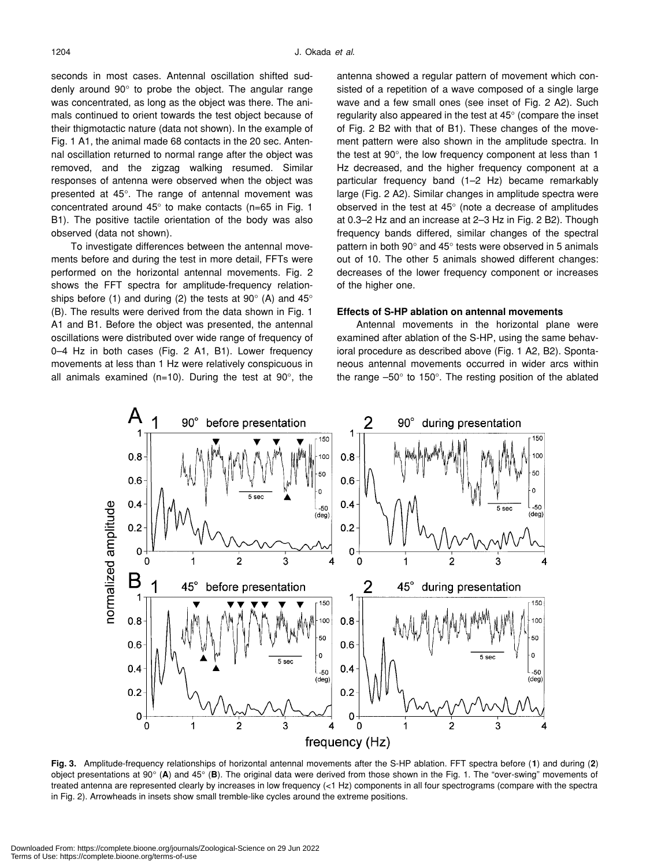seconds in most cases. Antennal oscillation shifted suddenly around 90° to probe the object. The angular range was concentrated, as long as the object was there. The animals continued to orient towards the test object because of their thigmotactic nature (data not shown). In the example of Fig. 1 A1, the animal made 68 contacts in the 20 sec. Antennal oscillation returned to normal range after the object was removed, and the zigzag walking resumed. Similar responses of antenna were observed when the object was presented at 45°. The range of antennal movement was concentrated around 45° to make contacts (n=65 in Fig. 1 B1). The positive tactile orientation of the body was also observed (data not shown).

To investigate differences between the antennal movements before and during the test in more detail, FFTs were performed on the horizontal antennal movements. Fig. 2 shows the FFT spectra for amplitude-frequency relationships before (1) and during (2) the tests at 90 $^{\circ}$  (A) and 45 $^{\circ}$ (B). The results were derived from the data shown in Fig. 1 A1 and B1. Before the object was presented, the antennal oscillations were distributed over wide range of frequency of 0–4 Hz in both cases (Fig. 2 A1, B1). Lower frequency movements at less than 1 Hz were relatively conspicuous in all animals examined ( $n=10$ ). During the test at 90 $^{\circ}$ , the antenna showed a regular pattern of movement which consisted of a repetition of a wave composed of a single large wave and a few small ones (see inset of Fig. 2 A2). Such regularity also appeared in the test at 45° (compare the inset of Fig. 2 B2 with that of B1). These changes of the movement pattern were also shown in the amplitude spectra. In the test at 90°, the low frequency component at less than 1 Hz decreased, and the higher frequency component at a particular frequency band (1–2 Hz) became remarkably large (Fig. 2 A2). Similar changes in amplitude spectra were observed in the test at 45° (note a decrease of amplitudes at 0.3–2 Hz and an increase at 2–3 Hz in Fig. 2 B2). Though frequency bands differed, similar changes of the spectral pattern in both 90° and 45° tests were observed in 5 animals out of 10. The other 5 animals showed different changes: decreases of the lower frequency component or increases of the higher one.

## **Effects of S-HP ablation on antennal movements**

Antennal movements in the horizontal plane were examined after ablation of the S-HP, using the same behavioral procedure as described above (Fig. 1 A2, B2). Spontaneous antennal movements occurred in wider arcs within the range –50° to 150°. The resting position of the ablated



**Fig. 3.** Amplitude-frequency relationships of horizontal antennal movements after the S-HP ablation. FFT spectra before (**1**) and during (**2**) object presentations at 90° (**A**) and 45° (**B**). The original data were derived from those shown in the Fig. 1. The "over-swing" movements of treated antenna are represented clearly by increases in low frequency (<1 Hz) components in all four spectrograms (compare with the spectra in Fig. 2). Arrowheads in insets show small tremble-like cycles around the extreme positions.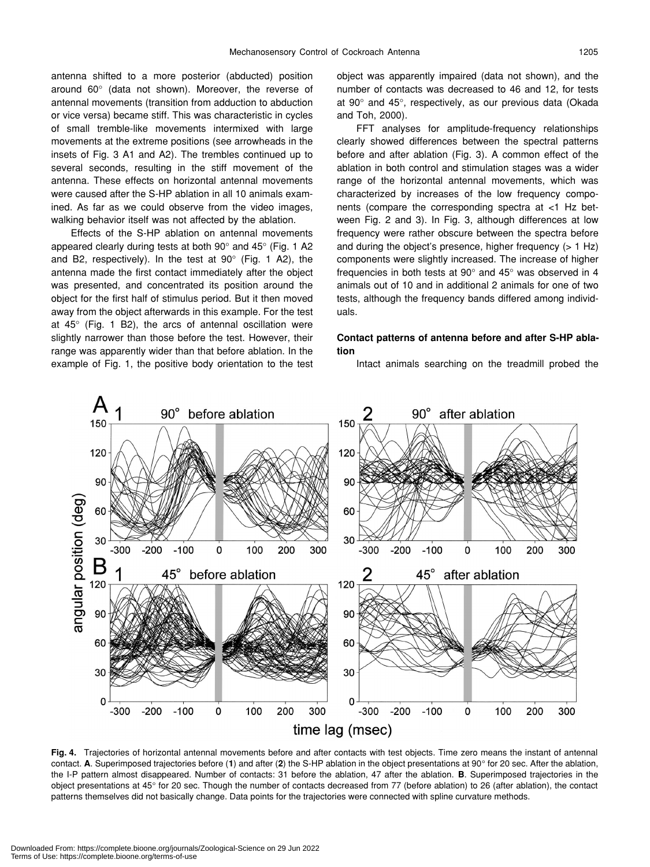antenna shifted to a more posterior (abducted) position around 60° (data not shown). Moreover, the reverse of antennal movements (transition from adduction to abduction or vice versa) became stiff. This was characteristic in cycles of small tremble-like movements intermixed with large movements at the extreme positions (see arrowheads in the insets of Fig. 3 A1 and A2). The trembles continued up to several seconds, resulting in the stiff movement of the antenna. These effects on horizontal antennal movements were caused after the S-HP ablation in all 10 animals examined. As far as we could observe from the video images, walking behavior itself was not affected by the ablation.

Effects of the S-HP ablation on antennal movements appeared clearly during tests at both 90° and 45° (Fig. 1 A2 and B2, respectively). In the test at  $90^{\circ}$  (Fig. 1 A2), the antenna made the first contact immediately after the object was presented, and concentrated its position around the object for the first half of stimulus period. But it then moved away from the object afterwards in this example. For the test at  $45^{\circ}$  (Fig. 1 B2), the arcs of antennal oscillation were slightly narrower than those before the test. However, their range was apparently wider than that before ablation. In the example of Fig. 1, the positive body orientation to the test object was apparently impaired (data not shown), and the number of contacts was decreased to 46 and 12, for tests at 90° and 45°, respectively, as our previous data (Okada and Toh, 2000).

FFT analyses for amplitude-frequency relationships clearly showed differences between the spectral patterns before and after ablation (Fig. 3). A common effect of the ablation in both control and stimulation stages was a wider range of the horizontal antennal movements, which was characterized by increases of the low frequency components (compare the corresponding spectra at <1 Hz between Fig. 2 and 3). In Fig. 3, although differences at low frequency were rather obscure between the spectra before and during the object's presence, higher frequency (> 1 Hz) components were slightly increased. The increase of higher frequencies in both tests at 90° and 45° was observed in 4 animals out of 10 and in additional 2 animals for one of two tests, although the frequency bands differed among individuals.

## **Contact patterns of antenna before and after S-HP ablation**

Intact animals searching on the treadmill probed the



**Fig. 4.** Trajectories of horizontal antennal movements before and after contacts with test objects. Time zero means the instant of antennal contact. **A**. Superimposed trajectories before (**1**) and after (**2**) the S-HP ablation in the object presentations at 90° for 20 sec. After the ablation, the I-P pattern almost disappeared. Number of contacts: 31 before the ablation, 47 after the ablation. **B**. Superimposed trajectories in the object presentations at 45° for 20 sec. Though the number of contacts decreased from 77 (before ablation) to 26 (after ablation), the contact patterns themselves did not basically change. Data points for the trajectories were connected with spline curvature methods.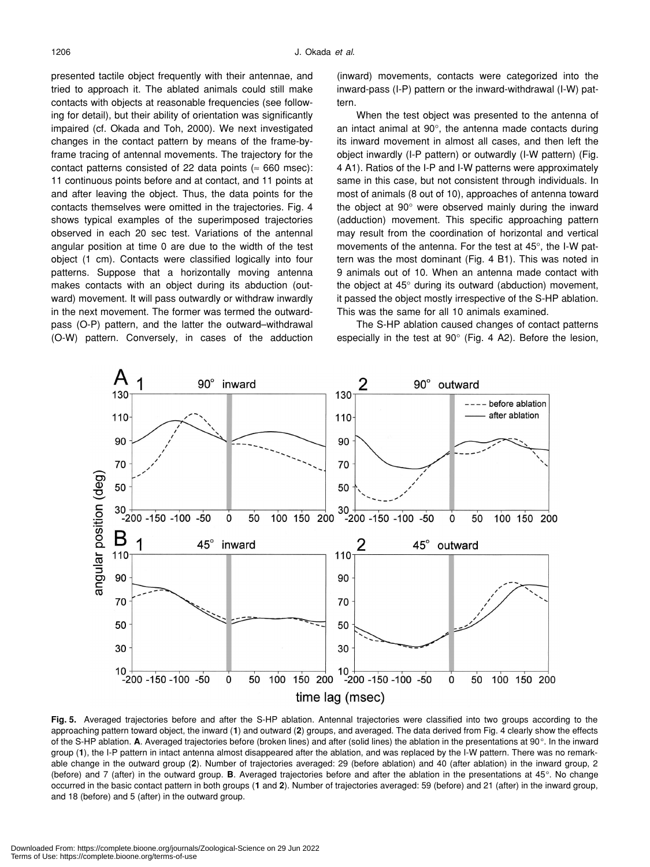presented tactile object frequently with their antennae, and tried to approach it. The ablated animals could still make contacts with objects at reasonable frequencies (see following for detail), but their ability of orientation was significantly impaired (cf. Okada and Toh, 2000). We next investigated changes in the contact pattern by means of the frame-byframe tracing of antennal movements. The trajectory for the contact patterns consisted of 22 data points ( $\approx$  660 msec): 11 continuous points before and at contact, and 11 points at and after leaving the object. Thus, the data points for the contacts themselves were omitted in the trajectories. Fig. 4 shows typical examples of the superimposed trajectories observed in each 20 sec test. Variations of the antennal angular position at time 0 are due to the width of the test object (1 cm). Contacts were classified logically into four patterns. Suppose that a horizontally moving antenna makes contacts with an object during its abduction (outward) movement. It will pass outwardly or withdraw inwardly in the next movement. The former was termed the outwardpass (O-P) pattern, and the latter the outward–withdrawal (O-W) pattern. Conversely, in cases of the adduction

(inward) movements, contacts were categorized into the inward-pass (I-P) pattern or the inward-withdrawal (I-W) pattern.

When the test object was presented to the antenna of an intact animal at 90°, the antenna made contacts during its inward movement in almost all cases, and then left the object inwardly (I-P pattern) or outwardly (I-W pattern) (Fig. 4 A1). Ratios of the I-P and I-W patterns were approximately same in this case, but not consistent through individuals. In most of animals (8 out of 10), approaches of antenna toward the object at 90° were observed mainly during the inward (adduction) movement. This specific approaching pattern may result from the coordination of horizontal and vertical movements of the antenna. For the test at 45°, the I-W pattern was the most dominant (Fig. 4 B1). This was noted in 9 animals out of 10. When an antenna made contact with the object at 45° during its outward (abduction) movement, it passed the object mostly irrespective of the S-HP ablation. This was the same for all 10 animals examined.

The S-HP ablation caused changes of contact patterns especially in the test at 90° (Fig. 4 A2). Before the lesion,



**Fig. 5.** Averaged trajectories before and after the S-HP ablation. Antennal trajectories were classified into two groups according to the approaching pattern toward object, the inward (**1**) and outward (**2**) groups, and averaged. The data derived from Fig. 4 clearly show the effects of the S-HP ablation. **A**. Averaged trajectories before (broken lines) and after (solid lines) the ablation in the presentations at 90°. In the inward group (**1**), the I-P pattern in intact antenna almost disappeared after the ablation, and was replaced by the I-W pattern. There was no remarkable change in the outward group (**2**). Number of trajectories averaged: 29 (before ablation) and 40 (after ablation) in the inward group, 2 (before) and 7 (after) in the outward group. **B**. Averaged trajectories before and after the ablation in the presentations at 45°. No change occurred in the basic contact pattern in both groups (**1** and **2**). Number of trajectories averaged: 59 (before) and 21 (after) in the inward group, and 18 (before) and 5 (after) in the outward group.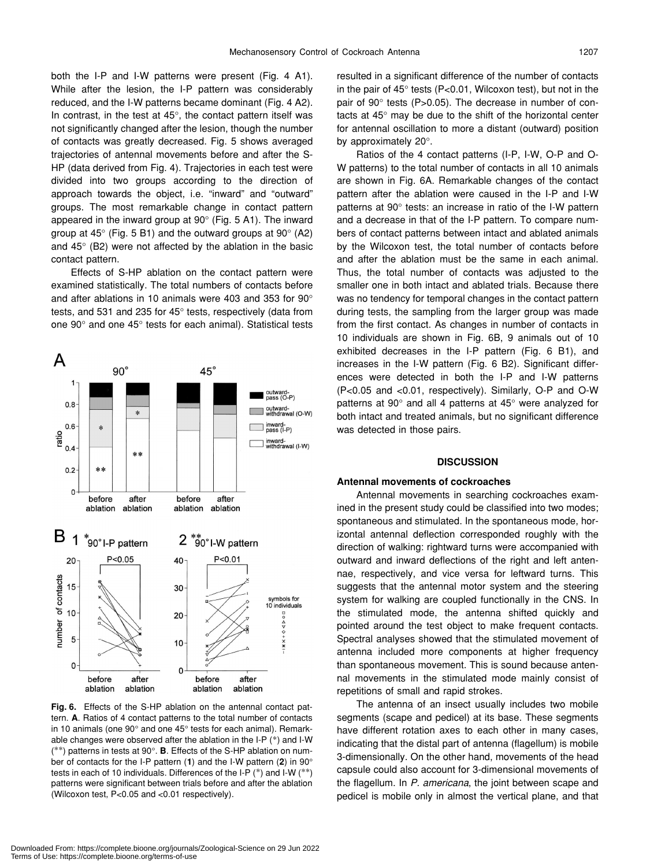both the I-P and I-W patterns were present (Fig. 4 A1). While after the lesion, the I-P pattern was considerably reduced, and the I-W patterns became dominant (Fig. 4 A2). In contrast, in the test at 45°, the contact pattern itself was not significantly changed after the lesion, though the number of contacts was greatly decreased. Fig. 5 shows averaged trajectories of antennal movements before and after the S-HP (data derived from Fig. 4). Trajectories in each test were divided into two groups according to the direction of approach towards the object, i.e. "inward" and "outward" groups. The most remarkable change in contact pattern appeared in the inward group at 90° (Fig. 5 A1). The inward group at  $45^{\circ}$  (Fig. 5 B1) and the outward groups at  $90^{\circ}$  (A2) and 45° (B2) were not affected by the ablation in the basic contact pattern.

Effects of S-HP ablation on the contact pattern were examined statistically. The total numbers of contacts before and after ablations in 10 animals were 403 and 353 for 90° tests, and 531 and 235 for 45° tests, respectively (data from one 90° and one 45° tests for each animal). Statistical tests



**Fig. 6.** Effects of the S-HP ablation on the antennal contact pattern. **A**. Ratios of 4 contact patterns to the total number of contacts in 10 animals (one 90° and one 45° tests for each animal). Remarkable changes were observed after the ablation in the I-P (\*) and I-W (\*\*) patterns in tests at 90°. **B**. Effects of the S-HP ablation on number of contacts for the I-P pattern (**1**) and the I-W pattern (**2**) in 90° tests in each of 10 individuals. Differences of the I-P (\*) and I-W (\*\*) patterns were significant between trials before and after the ablation (Wilcoxon test, P<0.05 and <0.01 respectively).

resulted in a significant difference of the number of contacts in the pair of 45° tests (P<0.01, Wilcoxon test), but not in the pair of 90° tests (P>0.05). The decrease in number of contacts at 45° may be due to the shift of the horizontal center for antennal oscillation to more a distant (outward) position by approximately 20°.

Ratios of the 4 contact patterns (I-P, I-W, O-P and O-W patterns) to the total number of contacts in all 10 animals are shown in Fig. 6A. Remarkable changes of the contact pattern after the ablation were caused in the I-P and I-W patterns at 90° tests: an increase in ratio of the I-W pattern and a decrease in that of the I-P pattern. To compare numbers of contact patterns between intact and ablated animals by the Wilcoxon test, the total number of contacts before and after the ablation must be the same in each animal. Thus, the total number of contacts was adjusted to the smaller one in both intact and ablated trials. Because there was no tendency for temporal changes in the contact pattern during tests, the sampling from the larger group was made from the first contact. As changes in number of contacts in 10 individuals are shown in Fig. 6B, 9 animals out of 10 exhibited decreases in the I-P pattern (Fig. 6 B1), and increases in the I-W pattern (Fig. 6 B2). Significant differences were detected in both the I-P and I-W patterns (P<0.05 and <0.01, respectively). Similarly, O-P and O-W patterns at 90° and all 4 patterns at 45° were analyzed for both intact and treated animals, but no significant difference was detected in those pairs.

## **DISCUSSION**

### **Antennal movements of cockroaches**

Antennal movements in searching cockroaches examined in the present study could be classified into two modes; spontaneous and stimulated. In the spontaneous mode, horizontal antennal deflection corresponded roughly with the direction of walking: rightward turns were accompanied with outward and inward deflections of the right and left antennae, respectively, and vice versa for leftward turns. This suggests that the antennal motor system and the steering system for walking are coupled functionally in the CNS. In the stimulated mode, the antenna shifted quickly and pointed around the test object to make frequent contacts. Spectral analyses showed that the stimulated movement of antenna included more components at higher frequency than spontaneous movement. This is sound because antennal movements in the stimulated mode mainly consist of repetitions of small and rapid strokes.

The antenna of an insect usually includes two mobile segments (scape and pedicel) at its base. These segments have different rotation axes to each other in many cases, indicating that the distal part of antenna (flagellum) is mobile 3-dimensionally. On the other hand, movements of the head capsule could also account for 3-dimensional movements of the flagellum. In *P. americana*, the joint between scape and pedicel is mobile only in almost the vertical plane, and that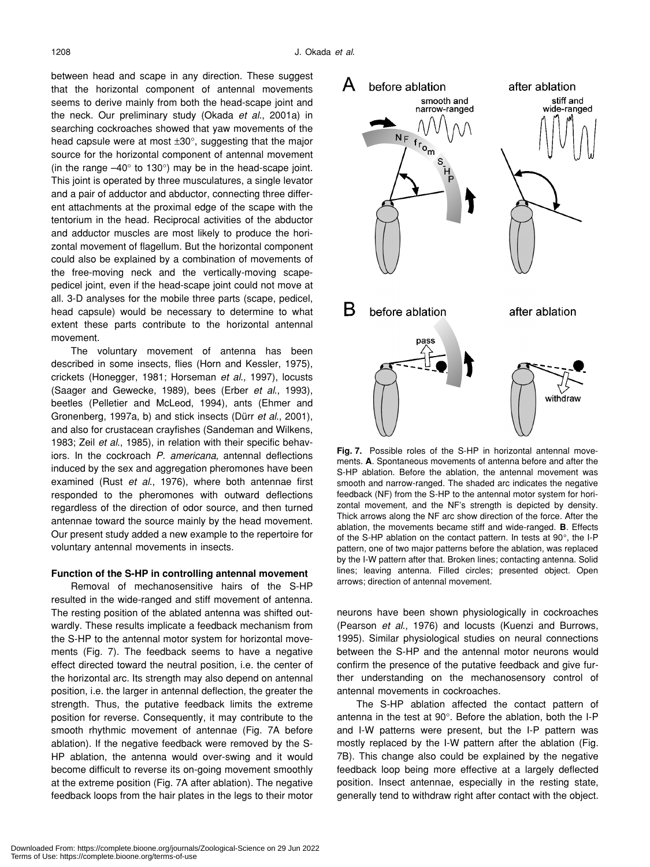between head and scape in any direction. These suggest that the horizontal component of antennal movements seems to derive mainly from both the head-scape joint and the neck. Our preliminary study (Okada *et al*., 2001a) in searching cockroaches showed that yaw movements of the head capsule were at most  $\pm 30^\circ$ , suggesting that the major source for the horizontal component of antennal movement (in the range  $-40^\circ$  to 130 $^\circ$ ) may be in the head-scape joint. This joint is operated by three musculatures, a single levator and a pair of adductor and abductor, connecting three different attachments at the proximal edge of the scape with the tentorium in the head. Reciprocal activities of the abductor and adductor muscles are most likely to produce the horizontal movement of flagellum. But the horizontal component could also be explained by a combination of movements of the free-moving neck and the vertically-moving scapepedicel joint, even if the head-scape joint could not move at all. 3-D analyses for the mobile three parts (scape, pedicel, head capsule) would be necessary to determine to what extent these parts contribute to the horizontal antennal movement.

The voluntary movement of antenna has been described in some insects, flies (Horn and Kessler, 1975), crickets (Honegger, 1981; Horseman *et al*., 1997), locusts (Saager and Gewecke, 1989), bees (Erber *et al*., 1993), beetles (Pelletier and McLeod, 1994), ants (Ehmer and Gronenberg, 1997a, b) and stick insects (Dürr *et al*., 2001), and also for crustacean crayfishes (Sandeman and Wilkens, 1983; Zeil *et al*., 1985), in relation with their specific behaviors. In the cockroach *P. americana*, antennal deflections induced by the sex and aggregation pheromones have been examined (Rust *et al*., 1976), where both antennae first responded to the pheromones with outward deflections regardless of the direction of odor source, and then turned antennae toward the source mainly by the head movement. Our present study added a new example to the repertoire for voluntary antennal movements in insects.

## **Function of the S-HP in controlling antennal movement**

Removal of mechanosensitive hairs of the S-HP resulted in the wide-ranged and stiff movement of antenna. The resting position of the ablated antenna was shifted outwardly. These results implicate a feedback mechanism from the S-HP to the antennal motor system for horizontal movements (Fig. 7). The feedback seems to have a negative effect directed toward the neutral position, i.e. the center of the horizontal arc. Its strength may also depend on antennal position, i.e. the larger in antennal deflection, the greater the strength. Thus, the putative feedback limits the extreme position for reverse. Consequently, it may contribute to the smooth rhythmic movement of antennae (Fig. 7A before ablation). If the negative feedback were removed by the S-HP ablation, the antenna would over-swing and it would become difficult to reverse its on-going movement smoothly at the extreme position (Fig. 7A after ablation). The negative feedback loops from the hair plates in the legs to their motor



**Fig. 7.** Possible roles of the S-HP in horizontal antennal movements. **A**. Spontaneous movements of antenna before and after the S-HP ablation. Before the ablation, the antennal movement was smooth and narrow-ranged. The shaded arc indicates the negative feedback (NF) from the S-HP to the antennal motor system for horizontal movement, and the NF's strength is depicted by density. Thick arrows along the NF arc show direction of the force. After the ablation, the movements became stiff and wide-ranged. **B**. Effects of the S-HP ablation on the contact pattern. In tests at 90°, the I-P pattern, one of two major patterns before the ablation, was replaced by the I-W pattern after that. Broken lines; contacting antenna. Solid lines; leaving antenna. Filled circles; presented object. Open arrows; direction of antennal movement.

neurons have been shown physiologically in cockroaches (Pearson *et al*., 1976) and locusts (Kuenzi and Burrows, 1995). Similar physiological studies on neural connections between the S-HP and the antennal motor neurons would confirm the presence of the putative feedback and give further understanding on the mechanosensory control of antennal movements in cockroaches.

The S-HP ablation affected the contact pattern of antenna in the test at 90°. Before the ablation, both the I-P and I-W patterns were present, but the I-P pattern was mostly replaced by the I-W pattern after the ablation (Fig. 7B). This change also could be explained by the negative feedback loop being more effective at a largely deflected position. Insect antennae, especially in the resting state, generally tend to withdraw right after contact with the object.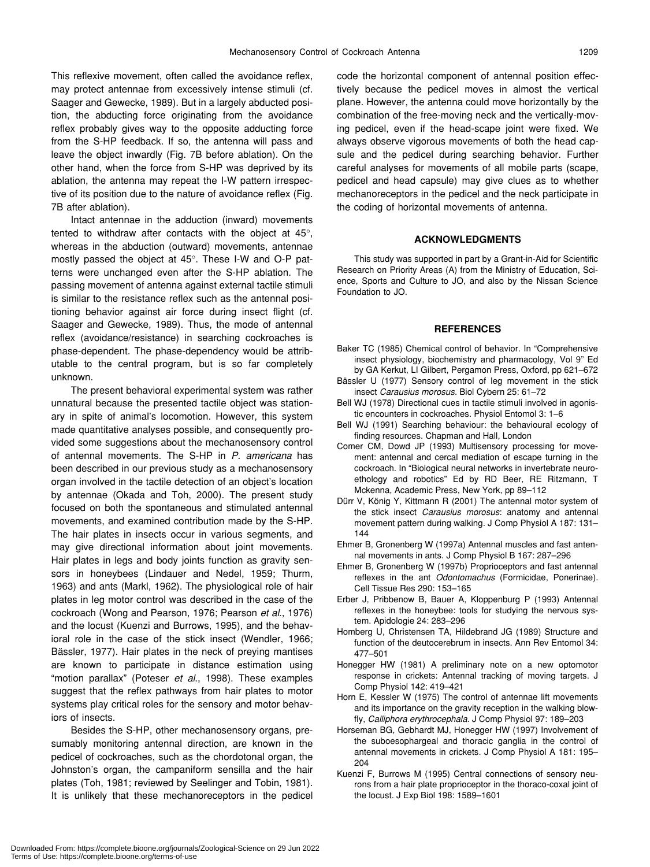This reflexive movement, often called the avoidance reflex, may protect antennae from excessively intense stimuli (cf. Saager and Gewecke, 1989). But in a largely abducted position, the abducting force originating from the avoidance reflex probably gives way to the opposite adducting force from the S-HP feedback. If so, the antenna will pass and leave the object inwardly (Fig. 7B before ablation). On the other hand, when the force from S-HP was deprived by its ablation, the antenna may repeat the I-W pattern irrespective of its position due to the nature of avoidance reflex (Fig. 7B after ablation).

Intact antennae in the adduction (inward) movements tented to withdraw after contacts with the object at 45°, whereas in the abduction (outward) movements, antennae mostly passed the object at 45°. These I-W and O-P patterns were unchanged even after the S-HP ablation. The passing movement of antenna against external tactile stimuli is similar to the resistance reflex such as the antennal positioning behavior against air force during insect flight (cf. Saager and Gewecke, 1989). Thus, the mode of antennal reflex (avoidance/resistance) in searching cockroaches is phase-dependent. The phase-dependency would be attributable to the central program, but is so far completely unknown.

The present behavioral experimental system was rather unnatural because the presented tactile object was stationary in spite of animal's locomotion. However, this system made quantitative analyses possible, and consequently provided some suggestions about the mechanosensory control of antennal movements. The S-HP in *P. americana* has been described in our previous study as a mechanosensory organ involved in the tactile detection of an object's location by antennae (Okada and Toh, 2000). The present study focused on both the spontaneous and stimulated antennal movements, and examined contribution made by the S-HP. The hair plates in insects occur in various segments, and may give directional information about joint movements. Hair plates in legs and body joints function as gravity sensors in honeybees (Lindauer and Nedel, 1959; Thurm, 1963) and ants (Markl, 1962). The physiological role of hair plates in leg motor control was described in the case of the cockroach (Wong and Pearson, 1976; Pearson *et al*., 1976) and the locust (Kuenzi and Burrows, 1995), and the behavioral role in the case of the stick insect (Wendler, 1966; Bässler, 1977). Hair plates in the neck of preying mantises are known to participate in distance estimation using "motion parallax" (Poteser *et al*., 1998). These examples suggest that the reflex pathways from hair plates to motor systems play critical roles for the sensory and motor behaviors of insects.

Besides the S-HP, other mechanosensory organs, presumably monitoring antennal direction, are known in the pedicel of cockroaches, such as the chordotonal organ, the Johnston's organ, the campaniform sensilla and the hair plates (Toh, 1981; reviewed by Seelinger and Tobin, 1981). It is unlikely that these mechanoreceptors in the pedicel code the horizontal component of antennal position effectively because the pedicel moves in almost the vertical plane. However, the antenna could move horizontally by the combination of the free-moving neck and the vertically-moving pedicel, even if the head-scape joint were fixed. We always observe vigorous movements of both the head capsule and the pedicel during searching behavior. Further careful analyses for movements of all mobile parts (scape, pedicel and head capsule) may give clues as to whether mechanoreceptors in the pedicel and the neck participate in the coding of horizontal movements of antenna.

## **ACKNOWLEDGMENTS**

This study was supported in part by a Grant-in-Aid for Scientific Research on Priority Areas (A) from the Ministry of Education, Science, Sports and Culture to JO, and also by the Nissan Science Foundation to JO.

## **REFERENCES**

- Baker TC (1985) Chemical control of behavior. In "Comprehensive insect physiology, biochemistry and pharmacology, Vol 9" Ed by GA Kerkut, LI Gilbert, Pergamon Press, Oxford, pp 621–672
- Bässler U (1977) Sensory control of leg movement in the stick insect *Carausius morosus*. Biol Cybern 25: 61–72
- Bell WJ (1978) Directional cues in tactile stimuli involved in agonistic encounters in cockroaches. Physiol Entomol 3: 1–6
- Bell WJ (1991) Searching behaviour: the behavioural ecology of finding resources. Chapman and Hall, London
- Comer CM, Dowd JP (1993) Multisensory processing for movement: antennal and cercal mediation of escape turning in the cockroach. In "Biological neural networks in invertebrate neuroethology and robotics" Ed by RD Beer, RE Ritzmann, T Mckenna, Academic Press, New York, pp 89–112
- Dürr V, König Y, Kittmann R (2001) The antennal motor system of the stick insect *Carausius morosus*: anatomy and antennal movement pattern during walking. J Comp Physiol A 187: 131– 144
- Ehmer B, Gronenberg W (1997a) Antennal muscles and fast antennal movements in ants. J Comp Physiol B 167: 287–296
- Ehmer B, Gronenberg W (1997b) Proprioceptors and fast antennal reflexes in the ant *Odontomachus* (Formicidae, Ponerinae). Cell Tissue Res 290: 153–165
- Erber J, Pribbenow B, Bauer A, Kloppenburg P (1993) Antennal reflexes in the honeybee: tools for studying the nervous system. Apidologie 24: 283–296
- Homberg U, Christensen TA, Hildebrand JG (1989) Structure and function of the deutocerebrum in insects. Ann Rev Entomol 34: 477–501
- Honegger HW (1981) A preliminary note on a new optomotor response in crickets: Antennal tracking of moving targets. J Comp Physiol 142: 419–421
- Horn E, Kessler W (1975) The control of antennae lift movements and its importance on the gravity reception in the walking blowfly, *Calliphora erythrocephala*. J Comp Physiol 97: 189–203
- Horseman BG, Gebhardt MJ, Honegger HW (1997) Involvement of the suboesophargeal and thoracic ganglia in the control of antennal movements in crickets. J Comp Physiol A 181: 195– 204
- Kuenzi F, Burrows M (1995) Central connections of sensory neurons from a hair plate proprioceptor in the thoraco-coxal joint of the locust. J Exp Biol 198: 1589–1601